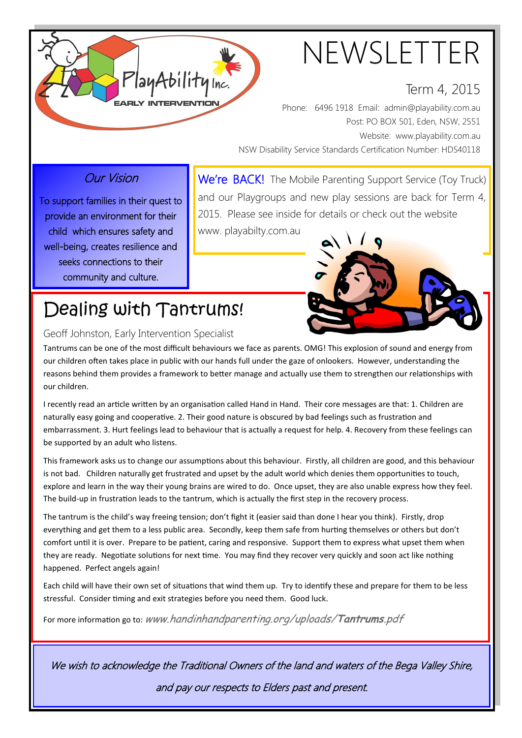

# NEWSLETTER

### Term 4, 2015

Phone: 6496 1918 Email: admin@playability.com.au Post: PO BOX 501, Eden, NSW, 2551 Website: www.playability.com.au NSW Disability Service Standards Certification Number: HDS40118

### Our Vision

To support families in their quest to provide an environment for their child which ensures safety and well-being, creates resilience and seeks connections to their community and culture.

We're BACK! The Mobile Parenting Support Service (Toy Truck) and our Playgroups and new play sessions are back for Term 4, 2015. Please see inside for details or check out the website

www. playabilty.com.au



## Dealing with Tantrums!

#### Geoff Johnston, Early Intervention Specialist

Tantrums can be one of the most difficult behaviours we face as parents. OMG! This explosion of sound and energy from our children often takes place in public with our hands full under the gaze of onlookers. However, understanding the reasons behind them provides a framework to better manage and actually use them to strengthen our relationships with our children.

I recently read an article written by an organisation called Hand in Hand. Their core messages are that: 1. Children are naturally easy going and cooperative. 2. Their good nature is obscured by bad feelings such as frustration and embarrassment. 3. Hurt feelings lead to behaviour that is actually a request for help. 4. Recovery from these feelings can be supported by an adult who listens.

This framework asks us to change our assumptions about this behaviour. Firstly, all children are good, and this behaviour is not bad. Children naturally get frustrated and upset by the adult world which denies them opportunities to touch, explore and learn in the way their young brains are wired to do. Once upset, they are also unable express how they feel. The build-up in frustration leads to the tantrum, which is actually the first step in the recovery process.

The tantrum is the child's way freeing tension; don't fight it (easier said than done I hear you think). Firstly, drop everything and get them to a less public area. Secondly, keep them safe from hurting themselves or others but don't comfort until it is over. Prepare to be patient, caring and responsive. Support them to express what upset them when they are ready. Negotiate solutions for next time. You may find they recover very quickly and soon act like nothing happened. Perfect angels again!

Each child will have their own set of situations that wind them up. Try to identify these and prepare for them to be less stressful. Consider timing and exit strategies before you need them. Good luck.

For more information go to: www.handinhandparenting.org/uploads/**Tantrums**.pdf

We wish to acknowledge the Traditional Owners of the land and waters of the Bega Valley Shire,

and pay our respects to Elders past and present.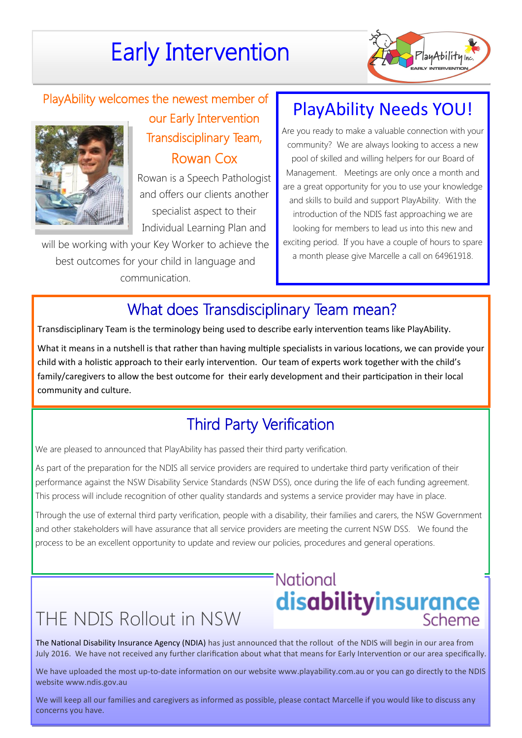## Early Intervention



## PlayAbility welcomes the newest member of our Early Intervention



Transdisciplinary Team, Rowan Cox

Rowan is a Speech Pathologist and offers our clients another specialist aspect to their Individual Learning Plan and

will be working with your Key Worker to achieve the best outcomes for your child in language and communication.

## PlayAbility Needs YOU!

Are you ready to make a valuable connection with your community? We are always looking to access a new pool of skilled and willing helpers for our Board of Management. Meetings are only once a month and are a great opportunity for you to use your knowledge and skills to build and support PlayAbility. With the introduction of the NDIS fast approaching we are looking for members to lead us into this new and exciting period. If you have a couple of hours to spare a month please give Marcelle a call on 64961918.

## What does Transdisciplinary Team mean?

Transdisciplinary Team is the terminology being used to describe early intervention teams like PlayAbility.

What it means in a nutshell is that rather than having multiple specialists in various locations, we can provide your child with a holistic approach to their early intervention. Our team of experts work together with the child's family/caregivers to allow the best outcome for their early development and their participation in their local community and culture.

## Third Party Verification

We are pleased to announced that PlayAbility has passed their third party verification.

As part of the preparation for the NDIS all service providers are required to undertake third party verification of their performance against the NSW Disability Service Standards (NSW DSS), once during the life of each funding agreement. This process will include recognition of other quality standards and systems a service provider may have in place.

Through the use of external third party verification, people with a disability, their families and carers, the NSW Government and other stakeholders will have assurance that all service providers are meeting the current NSW DSS. We found the process to be an excellent opportunity to update and review our policies, procedures and general operations.

## THE NDIS Rollout in NSW

# National **disabilityinsurance**

The National Disability Insurance Agency (NDIA) has just announced that the rollout of the NDIS will begin in our area from July 2016. We have not received any further clarification about what that means for Early Intervention or our area specifically.

We have uploaded the most up-to-date information on our website www.playability.com.au or you can go directly to the NDIS website www.ndis.gov.au

We will keep all our families and caregivers as informed as possible, please contact Marcelle if you would like to discuss any concerns you have.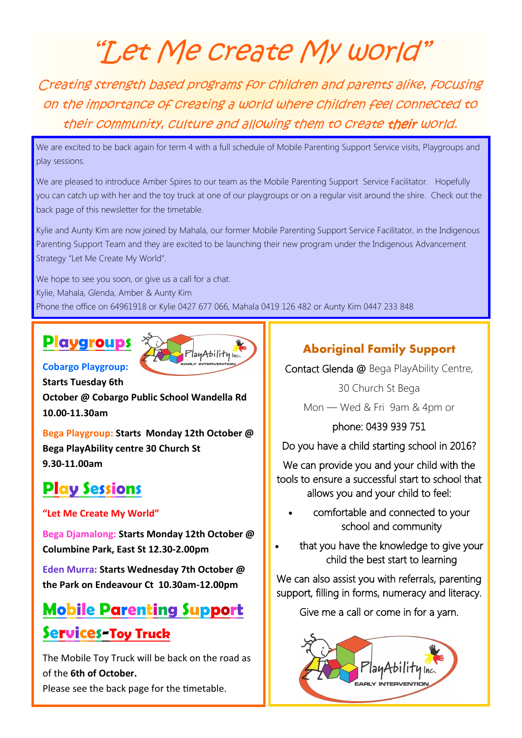# "Let Me create My world"

Creating strength based programs for children and parents alike, focusing on the importance of creating a world where children feel connected to their community, culture and allowing them to create their world.

We are excited to be back again for term 4 with a full schedule of Mobile Parenting Support Service visits, Playgroups and play sessions.

We are pleased to introduce Amber Spires to our team as the Mobile Parenting Support Service Facilitator. Hopefully you can catch up with her and the toy truck at one of our playgroups or on a regular visit around the shire. Check out the back page of this newsletter for the timetable.

Kylie and Aunty Kim are now joined by Mahala, our former Mobile Parenting Support Service Facilitator, in the Indigenous Parenting Support Team and they are excited to be launching their new program under the Indigenous Advancement Strategy "Let Me Create My World".

We hope to see you soon, or give us a call for a chat. Kylie, Mahala, Glenda, Amber & Aunty Kim Phone the office on 64961918 or Kylie 0427 677 066, Mahala 0419 126 482 or Aunty Kim 0447 233 848

## **Playgroups**



**Cobargo Playgroup: Starts Tuesday 6th** 

**October @ Cobargo Public School Wandella Rd 10.00-11.30am**

**Bega Playgroup: Starts Monday 12th October @ Bega PlayAbility centre 30 Church St 9.30-11.00am**

## **Play Sessions**

#### **"Let Me Create My World"**

**Bega Djamalong: Starts Monday 12th October @ Columbine Park, East St 12.30-2.00pm**

**Eden Murra: Starts Wednesday 7th October @ the Park on Endeavour Ct 10.30am-12.00pm**

## **Mobile Parenting Support**

## **Services-Toy Truck**

The Mobile Toy Truck will be back on the road as of the **6th of October.** 

Please see the back page for the timetable.

### **Aboriginal Family Support**

Contact Glenda @ Bega PlayAbility Centre,

30 Church St Bega Mon — Wed & Fri 9am & 4pm or

phone: 0439 939 751

Do you have a child starting school in 2016?

We can provide you and your child with the tools to ensure a successful start to school that allows you and your child to feel:

- comfortable and connected to your school and community
- that you have the knowledge to give your child the best start to learning

We can also assist you with referrals, parenting support, filling in forms, numeracy and literacy.

Give me a call or come in for a yarn.